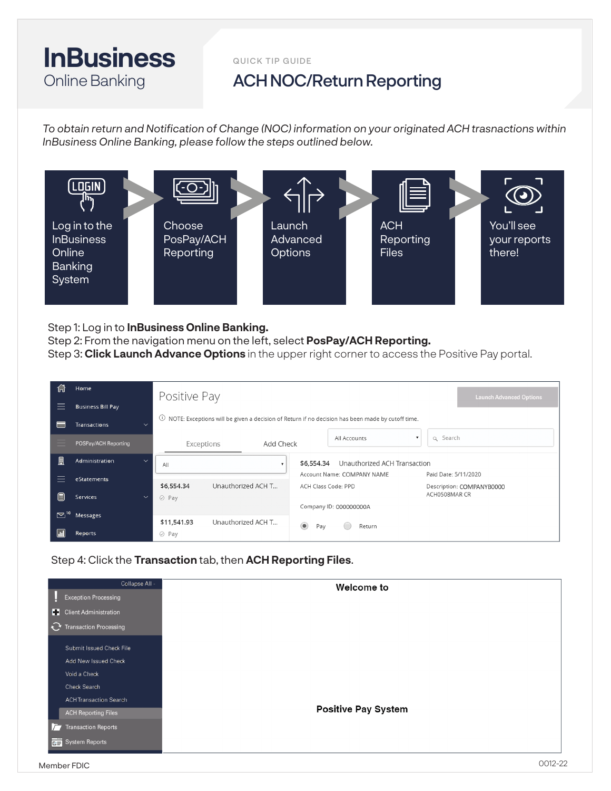## **InBusiness** Online Banking

QUICK TIP GUIDE

## ACH NOC/Return Reporting

*To obtain return and Notification of Change (NOC) information on your originated ACH trasnactions within InBusiness Online Banking, please follow the steps outlined below.*



Step 1: Log in to **InBusiness Online Banking.**

Step 2: From the navigation menu on the left, select **PosPay/ACH Reporting.**

Step 3: **Click Launch Advance Options** in the upper right corner to access the Positive Pay portal.

| 1-l | Home                              | Positive Pay                                                                                               |                                                                   | <b>Launch Advanced Options</b> |
|-----|-----------------------------------|------------------------------------------------------------------------------------------------------------|-------------------------------------------------------------------|--------------------------------|
|     | <b>Business Bill Pay</b>          |                                                                                                            |                                                                   |                                |
|     | Transactions<br>$\checkmark$      | $\cup$<br>NOTE: Exceptions will be given a decision of Return if no decision has been made by cutoff time. |                                                                   |                                |
|     | POSPay/ACH Reporting              | Add Check<br>Exceptions                                                                                    | q Search<br>All Accounts<br>$\mathbf{v}$                          |                                |
| 開   | Administration                    | $\checkmark$<br>All                                                                                        | Unauthorized ACH Transaction<br>\$6,554.34                        |                                |
|     | eStatements                       |                                                                                                            | Account Name: COMPANY NAME<br>Paid Date: 5/11/2020                |                                |
| 圃   | Services                          | \$6,554.34<br>Unauthorized ACH T<br>$\oslash$ Pay<br>$\checkmark$                                          | ACH Class Code: PPD<br>Description: COMPANYB0000<br>ACH0508MAR CR |                                |
|     |                                   |                                                                                                            | Company ID: 000000000A                                            |                                |
|     | $\mathbf{E}^{\text{10}}$ Messages | Unauthorized ACH T<br>\$11,541.93                                                                          | $\circledcirc$<br>Return<br>Pay                                   |                                |
|     | Reports                           | $\oslash$ Pay                                                                                              |                                                                   |                                |

Step 4: Click the **Transaction** tab, then **ACH Reporting Files**.